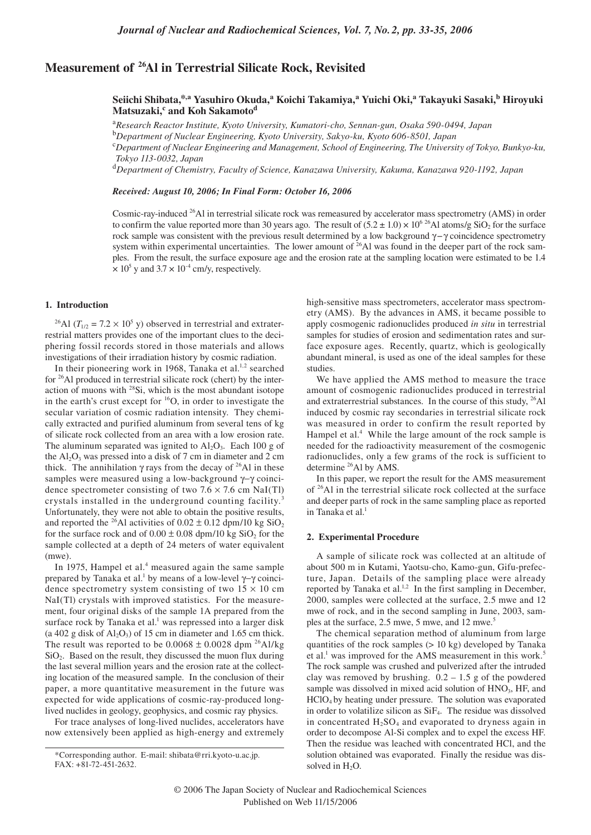# **Measurement of 26Al in Terrestrial Silicate Rock, Revisited**

# **Seiichi Shibata,\*,a Yasuhiro Okuda,a Koichi Takamiya,<sup>a</sup> Yuichi Oki,<sup>a</sup> Takayuki Sasaki,b Hiroyuki Matsuzaki,<sup>c</sup> and Koh Sakamoto<sup>d</sup>**

<sup>a</sup>*Research Reactor Institute, Kyoto University, Kumatori-cho, Sennan-gun, Osaka 590-0494, Japan*

<sup>b</sup>*Department of Nuclear Engineering, Kyoto University, Sakyo-ku, Kyoto 606-8501, Japan*

<sup>c</sup>*Department of Nuclear Engineering and Management, School of Engineering, The University of Tokyo, Bunkyo-ku, Tokyo 113-0032, Japan*

<sup>d</sup>*Department of Chemistry, Faculty of Science, Kanazawa University, Kakuma, Kanazawa 920-1192, Japan*

*Received: August 10, 2006; In Final Form: October 16, 2006*

Cosmic-ray-induced 26Al in terrestrial silicate rock was remeasured by accelerator mass spectrometry (AMS) in order to confirm the value reported more than 30 years ago. The result of  $(5.2 \pm 1.0) \times 10^{6}$  <sup>26</sup>Al atoms/g SiO<sub>2</sub> for the surface rock sample was consistent with the previous result determined by a low background γ−γ coincidence spectrometry system within experimental uncertainties. The lower amount of  $^{26}$ Al was found in the deeper part of the rock samples. From the result, the surface exposure age and the erosion rate at the sampling location were estimated to be 1.4  $\times$  10<sup>5</sup> y and 3.7  $\times$  10<sup>-4</sup> cm/y, respectively.

## **1. Introduction**

<sup>26</sup>Al ( $T_{1/2}$  = 7.2 × 10<sup>5</sup> y) observed in terrestrial and extraterrestrial matters provides one of the important clues to the deciphering fossil records stored in those materials and allows investigations of their irradiation history by cosmic radiation.

In their pioneering work in 1968, Tanaka et al. $1,2$  searched for 26Al produced in terrestrial silicate rock (chert) by the interaction of muons with <sup>28</sup>Si, which is the most abundant isotope in the earth's crust except for  $16O$ , in order to investigate the secular variation of cosmic radiation intensity. They chemically extracted and purified aluminum from several tens of kg of silicate rock collected from an area with a low erosion rate. The aluminum separated was ignited to  $Al_2O_3$ . Each 100 g of the  $Al_2O_3$  was pressed into a disk of 7 cm in diameter and 2 cm thick. The annihilation  $\gamma$  rays from the decay of <sup>26</sup>Al in these samples were measured using a low-background γ–γ coincidence spectrometer consisting of two  $7.6 \times 7.6$  cm NaI(Tl) crystals installed in the underground counting facility.<sup>3</sup> Unfortunately, they were not able to obtain the positive results, and reported the <sup>26</sup>Al activities of  $0.02 \pm 0.12$  dpm/10 kg SiO<sub>2</sub> for the surface rock and of  $0.00 \pm 0.08$  dpm/10 kg SiO<sub>2</sub> for the sample collected at a depth of 24 meters of water equivalent (mwe).

In 1975, Hampel et al.<sup>4</sup> measured again the same sample prepared by Tanaka et al.<sup>1</sup> by means of a low-level  $\gamma$ -γ coincidence spectrometry system consisting of two  $15 \times 10$  cm NaI(Tl) crystals with improved statistics. For the measurement, four original disks of the sample 1A prepared from the surface rock by Tanaka et al.<sup>1</sup> was repressed into a larger disk (a 402 g disk of  $Al_2O_3$ ) of 15 cm in diameter and 1.65 cm thick. The result was reported to be  $0.0068 \pm 0.0028$  dpm <sup>26</sup>Al/kg  $SiO<sub>2</sub>$ . Based on the result, they discussed the muon flux during the last several million years and the erosion rate at the collecting location of the measured sample. In the conclusion of their paper, a more quantitative measurement in the future was expected for wide applications of cosmic-ray-produced longlived nuclides in geology, geophysics, and cosmic ray physics.

For trace analyses of long-lived nuclides, accelerators have now extensively been applied as high-energy and extremely high-sensitive mass spectrometers, accelerator mass spectrometry (AMS). By the advances in AMS, it became possible to apply cosmogenic radionuclides produced *in situ* in terrestrial samples for studies of erosion and sedimentation rates and surface exposure ages. Recently, quartz, which is geologically abundant mineral, is used as one of the ideal samples for these studies.

We have applied the AMS method to measure the trace amount of cosmogenic radionuclides produced in terrestrial and extraterrestrial substances. In the course of this study, 26Al induced by cosmic ray secondaries in terrestrial silicate rock was measured in order to confirm the result reported by Hampel et al.<sup>4</sup> While the large amount of the rock sample is needed for the radioactivity measurement of the cosmogenic radionuclides, only a few grams of the rock is sufficient to determine <sup>26</sup>Al by AMS.

In this paper, we report the result for the AMS measurement of 26Al in the terrestrial silicate rock collected at the surface and deeper parts of rock in the same sampling place as reported in Tanaka et al.<sup>1</sup>

#### **2. Experimental Procedure**

A sample of silicate rock was collected at an altitude of about 500 m in Kutami, Yaotsu-cho, Kamo-gun, Gifu-prefecture, Japan. Details of the sampling place were already reported by Tanaka et al.<sup>1,2</sup> In the first sampling in December, 2000, samples were collected at the surface, 2.5 mwe and 12 mwe of rock, and in the second sampling in June, 2003, samples at the surface, 2.5 mwe, 5 mwe, and 12 mwe.<sup>5</sup>

The chemical separation method of aluminum from large quantities of the rock samples (> 10 kg) developed by Tanaka et al.<sup>1</sup> was improved for the AMS measurement in this work.<sup>5</sup> The rock sample was crushed and pulverized after the intruded clay was removed by brushing.  $0.2 - 1.5$  g of the powdered sample was dissolved in mixed acid solution of HNO<sub>3</sub>, HF, and HClO4 by heating under pressure. The solution was evaporated in order to volatilize silicon as SiF4. The residue was dissolved in concentrated  $H_2SO_4$  and evaporated to dryness again in order to decompose Al-Si complex and to expel the excess HF. Then the residue was leached with concentrated HCl, and the solution obtained was evaporated. Finally the residue was dissolved in H<sub>2</sub>O.

<sup>\*</sup>Corresponding author. E-mail: shibata@rri.kyoto-u.ac.jp. FAX: +81-72-451-2632.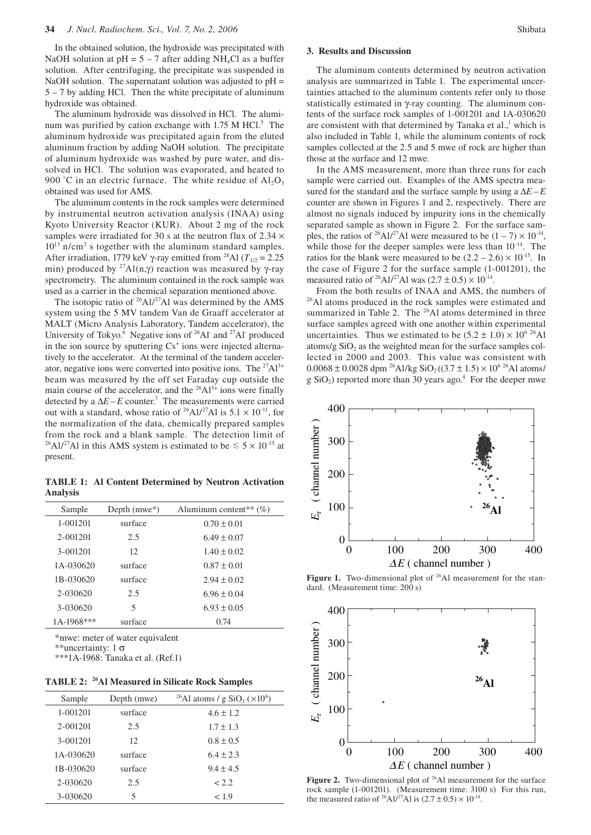In the obtained solution, the hydroxide was precipitated with NaOH solution at  $pH = 5 - 7$  after adding NH<sub>4</sub>Cl as a buffer solution. After centrifuging, the precipitate was suspended in NaOH solution. The supernatant solution was adjusted to  $pH =$ 5 – 7 by adding HCl. Then the white precipitate of aluminum hydroxide was obtained.

The aluminum hydroxide was dissolved in HCl. The aluminum was purified by cation exchange with 1.75 M HCl.<sup>5</sup> The aluminum hydroxide was precipitated again from the eluted aluminum fraction by adding NaOH solution. The precipitate of aluminum hydroxide was washed by pure water, and dissolved in HCl. The solution was evaporated, and heated to 900 °C in an electric furnace. The white residue of  $Al_2O_3$ obtained was used for AMS.

The aluminum contents in the rock samples were determined by instrumental neutron activation analysis (INAA) using Kyoto University Reactor (KUR). About 2 mg of the rock samples were irradiated for 30 s at the neutron flux of  $2.34 \times$ 10<sup>13</sup> n/cm<sup>2</sup> s together with the aluminum standard samples. After irradiation, 1779 keV γ-ray emitted from <sup>28</sup>Al ( $T_{1/2}$  = 2.25 min) produced by <sup>27</sup>Al(n,γ) reaction was measured by γ-ray spectrometry. The aluminum contained in the rock sample was used as a carrier in the chemical separation mentioned above.

The isotopic ratio of  $^{26}$ Al/<sup>27</sup>Al was determined by the AMS system using the 5 MV tandem Van de Graaff accelerator at MALT (Micro Analysis Laboratory, Tandem accelerator), the University of Tokyo.<sup>6</sup> Negative ions of <sup>26</sup>Al<sup>-</sup> and <sup>27</sup>Al<sup>-</sup> produced in the ion source by sputtering  $Cs<sup>+</sup>$  ions were injected alternatively to the accelerator. At the terminal of the tandem accelerator, negative ions were converted into positive ions. The  $27\text{Al}^{3+}$ beam was measured by the off set Faraday cup outside the main course of the accelerator, and the  $26\text{Al}^{3+}$  ions were finally detected by a  $\Delta E - E$  counter.<sup>7</sup> The measurements were carried out with a standard, whose ratio of <sup>26</sup>Al/<sup>27</sup>Al is  $5.1 \times 10^{-11}$ , for the normalization of the data, chemically prepared samples from the rock and a blank sample. The detection limit of <sup>26</sup>Al/<sup>27</sup>Al in this AMS system is estimated to be  $\leq 5 \times 10^{-15}$  at present.

**TABLE 1: Al Content Determined by Neutron Activation Analysis**

| Sample     | Depth $(mwe^*)$ | Aluminum content <sup>**</sup> $(\%)$ |
|------------|-----------------|---------------------------------------|
| 1-001201   | surface         | $0.70 \pm 0.01$                       |
| 2-001201   | 2.5             | $6.49 \pm 0.07$                       |
| 3-001201   | 12              | $1.40 \pm 0.02$                       |
| 1A-030620  | surface         | $0.87 \pm 0.01$                       |
| 1B-030620  | surface         | $2.94 \pm 0.02$                       |
| 2-030620   | 2.5             | $6.96 \pm 0.04$                       |
| 3-030620   | 5               | $6.93 \pm 0.05$                       |
| 1A-1968*** | surface         | 0.74                                  |

\*mwe: meter of water equivalent

\*\*uncertainty:  $1 \sigma$ 

\*\*\*1A-1968: Tanaka et al. (Ref.1)

|  | TABLE 2: <sup>26</sup> Al Measured in Silicate Rock Samples |  |  |  |
|--|-------------------------------------------------------------|--|--|--|
|--|-------------------------------------------------------------|--|--|--|

| Sample    | Depth (mwe) | <sup>26</sup> Al atoms / g SiO <sub>2</sub> ( $\times$ 10 <sup>6</sup> ) |
|-----------|-------------|--------------------------------------------------------------------------|
| 1-001201  | surface     | $4.6 \pm 1.2$                                                            |
| 2-001201  | 2.5         | $1.7 \pm 1.3$                                                            |
| 3-001201  | 12          | $0.8 \pm 0.5$                                                            |
| 1A-030620 | surface     | $6.4 \pm 2.3$                                                            |
| 1B-030620 | surface     | $9.4 \pm 4.5$                                                            |
| 2-030620  | 2.5         | < 2.2                                                                    |
| 3-030620  | 5           | < 1.9                                                                    |

# **3. Results and Discussion**

The aluminum contents determined by neutron activation analysis are summarized in Table 1. The experimental uncertainties attached to the aluminum contents refer only to those statistically estimated in γ-ray counting. The aluminum contents of the surface rock samples of 1-001201 and 1A-030620 are consistent with that determined by Tanaka et  $al.$ <sup>1</sup>, which is also included in Table 1, while the aluminum contents of rock samples collected at the 2.5 and 5 mwe of rock are higher than those at the surface and 12 mwe.

In the AMS measurement, more than three runs for each sample were carried out. Examples of the AMS spectra measured for the standard and the surface sample by using a  $\Delta E - E$ counter are shown in Figures 1 and 2, respectively. There are almost no signals induced by impurity ions in the chemically separated sample as shown in Figure 2. For the surface samples, the ratios of <sup>26</sup>Al/<sup>27</sup>Al were measured to be  $(1 – 7) \times 10^{-14}$ , while those for the deeper samples were less than  $10^{-14}$ . The ratios for the blank were measured to be  $(2.2 – 2.6) \times 10^{-15}$ . In the case of Figure 2 for the surface sample (1-001201), the measured ratio of <sup>26</sup>Al/<sup>27</sup>Al was  $(2.7 \pm 0.5) \times 10^{-14}$ .

From the both results of INAA and AMS, the numbers of <sup>26</sup>Al atoms produced in the rock samples were estimated and summarized in Table 2. The <sup>26</sup>Al atoms determined in three surface samples agreed with one another within experimental uncertainties. Thus we estimated to be  $(5.2 \pm 1.0) \times 10^{6}$  <sup>26</sup>Al atoms/g  $SiO<sub>2</sub>$  as the weighted mean for the surface samples collected in 2000 and 2003. This value was consistent with  $0.0068 \pm 0.0028$  dpm <sup>26</sup>Al/kg SiO<sub>2</sub> ((3.7  $\pm$  1.5)  $\times$  10<sup>6 26</sup>Al atoms/  $g SiO<sub>2</sub>$ ) reported more than 30 years ago.<sup>4</sup> For the deeper mwe



**Figure 1.** Two-dimensional plot of <sup>26</sup>Al measurement for the standard. (Measurement time: 200 s)



**Figure 2.** Two-dimensional plot of <sup>26</sup>Al measurement for the surface rock sample (1-001201). (Measurement time: 3100 s) For this run, the measured ratio of <sup>26</sup>Al/<sup>27</sup>Al is (2.7 ± 0.5)  $\times$  10<sup>-14</sup>.